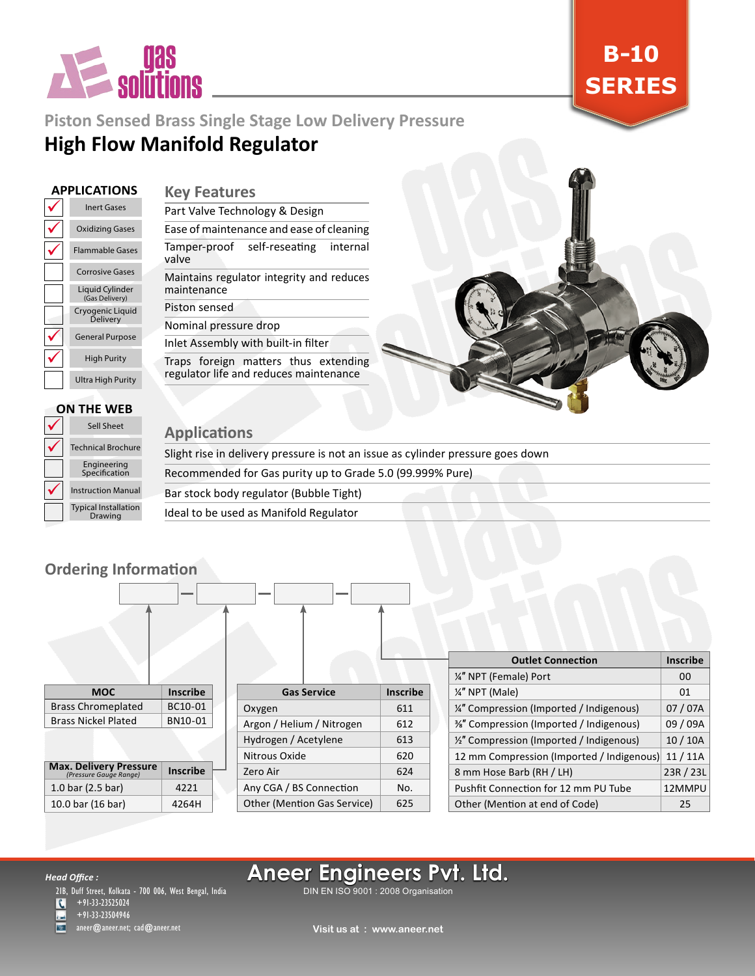

**B-10 SERIES**

## **Piston Sensed Brass Single Stage Low Delivery Pressure**

# **High Flow Manifold Regulator**

### **APPLICATIONS**

### **Key Features**

| <b>Inert Gases</b>                       |  |
|------------------------------------------|--|
| <b>Oxidizing Gases</b>                   |  |
| Flammable Gases                          |  |
| <b>Corrosive Gases</b>                   |  |
| <b>Liquid Cylinder</b><br>(Gas Delivery) |  |
| Cryogenic Liguid<br>Delivery             |  |
| <b>General Purpose</b>                   |  |
| <b>High Purity</b>                       |  |
| <b>Ultra High Purity</b>                 |  |

| Part Valve Technology & Design                           |                                          |  |  |
|----------------------------------------------------------|------------------------------------------|--|--|
|                                                          | Ease of maintenance and ease of cleaning |  |  |
| valve                                                    | Tamper-proof self-reseating internal     |  |  |
| Maintains regulator integrity and reduces<br>maintenance |                                          |  |  |
| Piston sensed                                            |                                          |  |  |
| Nominal pressure drop                                    |                                          |  |  |

#### Inlet Assembly with built-in filter Traps foreign matters thus extending regulator life and reduces maintenance



#### $\checkmark$  $\checkmark$  $\checkmark$ Typical Installation Drawing Instruction Manual Engineering Specification Technical Brochure Sell Sheet **ON THE WEB**

### **Applications**

Slight rise in delivery pressure is not an issue as cylinder pressure goes down Recommended for Gas purity up to Grade 5.0 (99.999% Pure) Bar stock body regulator (Bubble Tight) Ideal to be used as Manifold Regulator

## **Ordering Information**

| <b>MOC</b>                                              | <b>Inscribe</b> |
|---------------------------------------------------------|-----------------|
| <b>Brass Chromeplated</b>                               | BC10-01         |
| <b>Brass Nickel Plated</b>                              | BN10-01         |
|                                                         |                 |
| <b>Max. Delivery Pressure</b><br>(Pressure Gauge Range) | <b>Inscribe</b> |

1.0 bar (2.5 bar) 4221 10.0 bar (16 bar) 4264H

|                                    | <b>Inscribe</b>    |
|------------------------------------|--------------------|
| Oxygen                             |                    |
| Argon / Helium / Nitrogen          |                    |
| Hydrogen / Acetylene               |                    |
| Nitrous Oxide                      |                    |
| Zero Air                           |                    |
| Any CGA / BS Connection            |                    |
| <b>Other (Mention Gas Service)</b> |                    |
|                                    | <b>Gas Service</b> |

| <b>Outlet Connection</b>                  | <b>Inscribe</b> |
|-------------------------------------------|-----------------|
| 1/4" NPT (Female) Port                    | 00              |
| 1/4" NPT (Male)                           | 01              |
| 1/4" Compression (Imported / Indigenous)  | 07 / 07A        |
| %" Compression (Imported / Indigenous)    | 09 / 09A        |
| 1/2" Compression (Imported / Indigenous)  | 10/10A          |
| 12 mm Compression (Imported / Indigenous) | 11/11A          |
| 8 mm Hose Barb (RH / LH)                  | 23R / 23L       |
| Pushfit Connection for 12 mm PU Tube      | 12MMPU          |
| Other (Mention at end of Code)            | 25              |

#### *Head Office :*

21B, Duff Street, Kolkata - 700 006, West Bengal, India

+91-33-23525024  $\overline{\mathcal{L}}$ 

+91-33-23504946 aneer@aneer.net; cad@aneer.net

# **Aneer Engineers Pvt. Ltd.**

DIN EN ISO 9001 : 2008 Organisation

**Visit us at : www.aneer.net**